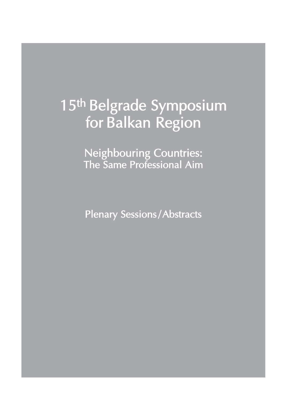# 15th Belgrade Symposium for Balkan Region

Neighbouring Countries: The Same Professional Aim

Plenary Sessions/Abstracts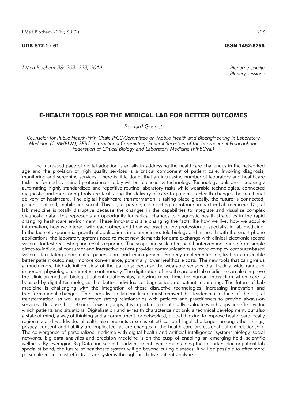#### UDK 577.1 : 61 ISSN 1452-8258

*J Med Biochem 38: 203–223, 2019 Plenarne sekcije*

## *Plenary sessions*

#### E-HEALTH TOOLS FOR THE MEDICAL LAB FOR BETTER OUTCOMES

*Bernard Gouget*

*Counselor for Public Health-FHF, Chair, IFCC-Committee on Mobile Health and Bioengineering in Laboratory Medicine (C-MHBLM), SFBC-International Committee, General Secretary of the International Francophone Federation of Clinical Biology and Laboratory Medicine (FIFBCML)* 

The increased pace of digital adoption is an ally in addressing the healthcare challenges in the networked age and the provision of high quality services is a critical component of patient care, involving diagnosis, monitoring and screening services. There is little doubt that an increasing number of laboratory and healthcare tasks performed by trained professionals today will be replaced by technology. Technology tools are increasingly automating highly standardized and repetitive routine laboratory tasks while wearable technologies, connected diagnostic and monitoring tools are facilitating the delivery of care to patients. eHealth changes the traditional delivery of healthcare. The digital healthcare transformation is taking place globally, the future is connected, patient centered, mobile and social. This digital paradigm is exerting a profound impact in Lab medicine. Digital lab medicine is totally disruptive because the changes in the capabilities to integrate and visualize complex diagnostic data. This represents an opportunity for radical changes to diagnostic health strategies in the rapid changing healthcare environment. These innovations are changing the facts like how we live, how we acquire information, how we interact with each other, and how we practice the profession of specialist in lab medicine. In the face of exponential growth of applications in telemedicine, tele-biology and m-health with the smart phone applications, the laboratory systems need to meet new demands for data exchange with clinical electronic record systems for test requesting and results reporting. The scope and scale of m-health interventions range from simple direct-to-individual consumer and interactive patient provider communications to more complex computer-based systems facilitating coordinated patient care and management. Properly implemented digitization can enable better patient outcomes, improve convenience, potentially lower healthcare costs. The new tools that can give us a much more high-definition view of the patients; because the wearable sensors that track a wide range of important physiologic parameters continuously. The digitization of health care and lab medicine can also improve the clinician-medical biologist-patient relationships, allowing more time for human interaction when care is boosted by digital technologies that better individualize diagnostics and patient monitoring. The future of Lab medicine is challenging with the integration of these disruptive technologies, increasing innovation and transformational changes. The specialist in lab medicine must reinvent his leadership in face of the digital transformation, as well as reinforce strong relationships with patients and practitioners to provide always-on services. Because the plethora of existing apps, it is important to continually evaluate which apps are effective for which patients and situations. Digitalization and e-health characterize not only a technical development, but also a state of mind, a way of thinking and a commitment for networked, global thinking to improve health care locally regionally and worldwide. eHealth also presents a series of ethical and legal challenges among other things, privacy, consent and liability are implicated, as are changes in the health care professional-patient relationship. The convergence of personalized medicine with digital health and artificial intelligence, systems biology, social networks, big data analytics and precision medicine is on the cusp of enabling an emerging field: scientific wellness. By leveraging Big Data and scientific advancements while maintaining the important doctor-patient-lab specialist bond, the future of healthcare system will go beyond curing diseases. it will be possible to offer more personalized and cost-effective care systems through predictive patient analytics.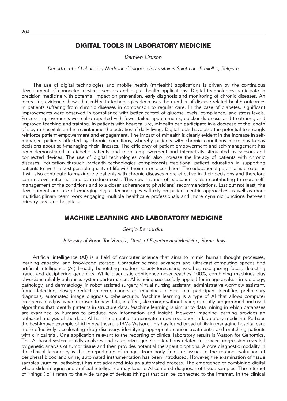## DIGITAL TOOLS IN LABORATORY MEDICINE

*Damien Gruson*

*Department of Laboratory Medicine Cliniques Universitaires Saint-Luc, Bruxelles, Belgium*

The use of digital technologies and mobile health (mHealth) applications is driven by the continuous development of connected devices, sensors and digital health applications. Digital technologies participate in precision medicine with potential impact on prevention, early diagnosis and monitoring of chronic diseases. An increasing evidence shows that mHealth technologies decreases the number of disease-related health outcomes in patients suffering from chronic diseases in comparison to regular care. In the case of diabetes, significant improvements were observed in compliance with better control of glucose levels, compliance, and stress levels. Process improvements were also reported with fewer failed appointments, quicker diagnosis and treatment, and improved teaching and training. In patients with heart failure, mHealth can participate in a decrease of the length of stay in hospitals and in maintaining the activities of daily living. Digital tools have also the potential to strongly reinforce patient empowerment and engagement. The impact of mHealth is clearly evident in the increase in selfmanaged patients affected by chronic conditions, whereby patients with chronic conditions make day-to-day decisions about self-managing their illnesses. The efficiency of patient empowerment and self-management has been demonstrated in diabetic patients and more empowerment and interactivity stimulated by sensors and connected devices. The use of digital technologies could also increase the literacy of patients with chronic diseases. Education through mHealth technologies complements traditional patient education in supporting patients to live the best possible quality of life with their chronic condition. The educational potential is greater as it will also contribute to making the patients with chronic diseases more effective in their decisions and therefore can improve outcomes and can reduce costs. This new manner of education is also contributing to more selfmanagement of the conditions and to a closer adherence to physicians' recommendations. Last but not least, the development and use of emerging digital technologies will rely on patient centric approaches as well as more multidisciplinary team work engaging multiple healthcare professionals and more dynamic junctions between primary care and hospitals.

#### MACHINE LEARNING AND LABORATORY MEDICINE

*Sergio Bernardini*

*University of Rome Tor Vergata, Dept. of Experimental Medicine, Rome, Italy*

Artificial intelligence (AI) is a field of computer science that aims to mimic human thought processes, learning capacity, and knowledge storage. Computer science advances and ultra-fast computing speeds find artificial intelligence (AI) broadly benefitting modern society-forecasting weather, recognizing faces, detecting fraud, and deciphering genomics. While diagnostic confidence never reaches 100%, combining machines plus physicians reliably enhances system performance. AI is being successfully applied for image analysis in radiology, pathology, and dermatology, in robot assisted surgery, virtual nursing assistant, administrative workflow assistant, fraud detection, dosage reduction error, connected machines, clinical trial participant identifier, preliminary diagnosis, automated image diagnosis, cybersecurity. Machine learning is a type of AI that allows computer programs to adjust when exposed to new data, in effect, »learning« without being explicitly programmed and used algorithms that identify patterns in structure data. Machine learning is similar to data mining in which databases are examined by humans to produce new information and insight. However, machine learning provides an unbiased analysis of the data. AI has the potential to generate a new revolution in laboratory medicine. Perhaps the best-known example of AI in healthcare is IBMs Watson. This has found broad utility in managing hospital care more effectively, accelerating drug discovery, identifying appropriate cancer treatments, and matching patients with clinical trial. One application relevant to the reporting of clinical laboratory results is Watson for Genomics. This AI-based system rapidly analyzes and categorizes genetic alterations related to cancer progression revealed by genetic analysis of tumor tissue and then provides potential therapeutic options. A core diagnostic modality in the clinical laboratory is the interpretation of images from body fluids or tissue. In the routine evaluation of peripheral blood and urine, automated instrumentation has been introduced. However, the examination of tissue samples (surgical pathology) has not advanced into an automated process. The emergence of combining digital whole slide imaging and artificial intelligence may lead to AI-centered diagnoses of tissue samples. The Internet of Things (IoT) refers to the wide range of devices (things) that can be connected to the Internet. In the clinical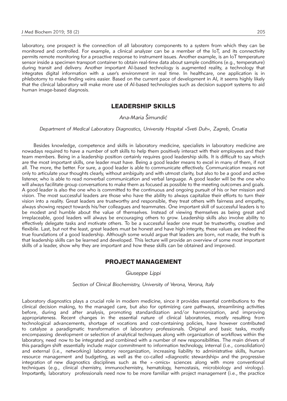laboratory, one prospect is the connection of all laboratory components to a system from which they can be monitored and controlled. For example, a clinical analyzer can be a member of the IoT, and its connectivity permits remote monitoring for a proactive response to instrument issues. Another example, is an IoT temperature sensor inside a specimen transport container to obtain real-time data about sample conditions (e.g., temperature) during transit and delivery. Another important AI-based technology is augmented reality, a technology that integrates digital information with a user's environment in real time. In healthcare, one application is in phlebotomy to make finding veins easier. Based on the current pace of development in AI, it seems highly likely that the clinical laboratory will make more use of AI-based technologies such as decision support systems to aid human image-based diagnosis.

## LEADERSHIP SKILLS

*Ana-Maria [imundi}*

*Department of Medical Laboratory Diagnostics, University Hospital »Sveti Duh«, Zagreb, Croatia*

Besides knowledge, competence and skills in laboratory medicine, specialists in laboratory medicine are nowadays required to have a number of soft skills to help them positively interact with their employees and their team members. Being in a leadership position certainly requires good leadership skills. It is difficult to say which are the most important skills, one leader must have. Being a good leader means to excel in many of them, if not all. The more, the better. For sure, a good leader is able to communicate effectively. Communication means not only to articulate your thoughts clearly, without ambiguity and with utmost clarity, but also to be a good and active listener, who is able to read nonverbal communication and verbal language. A good leader will be the one who will always facilitate group conversations to make them as focused as possible to the meeting outcomes and goals. A good leader is also the one who is committed to the continuous and ongoing pursuit of his or her mission and vision. The most successful leaders are those who have the ability to always capitalize their efforts to turn their vision into a reality. Great leaders are trustworthy and responsible, they treat others with fairness and empathy, always showing respect towards his/her colleagues and teammates. One important skill of successful leaders is to be modest and humble about the value of themselves. Instead of viewing themselves as being great and irreplaceable, good leaders will always be encouraging others to grow. Leadership skills also involve ability to effectively delegate tasks and motivate others. To be a successful leader one must be trustworthy, creative and flexibile. Last, but not the least, great leaders must be honest and have high integrity, these values are indeed the true foundations of a good leadership. Although some would argue that leaders are born, not made, the truth is that leadership skills can be learned and developed. This lecture will provide an overview of some most important skills of a leader, show why they are important and how these skills can be obtained and improved.

## PROJECT MANAGEMENT

*Giuseppe Lippi*

*Section of Clinical Biochemistry, University of Verona, Verona, Italy*

Laboratory diagnostics plays a crucial role in modern medicine, since it provides essential contributions to the clinical decision making, to the managed care, but also for optimizing care pathways, streamlining activities before, during and after analysis, promoting standardization and/or harmonization, and improving appropriateness. Recent changes in the essential nature of clinical laboratories, mostly resulting from technological advancements, shortage of vocations and cost-containing policies, have however contributed to catalyze a paradigmatic transformation of laboratory professionals. Original and basic tasks, mostly encompassing development or selection of analytical techniques along with organization of workflows within the laboratory, need now to be integrated and combined with a number of new responsibilities. The main drivers of this paradigm shift essentially include major commitment to information technology, internal (i.e., consolidation) and external (i.e., networking) laboratory reorganization, increasing liability to administrative skills, human resource management and budgeting, as well as the co-called »diagnostic stewardship« and the progressive integration of new diagnostics disciplines such as the » -omics« sciences along with more conventional techniques (e.g., clinical chemistry, immunochemistry, hematology, hemostasis, microbiology and virology). Importantly, laboratory professionals need now to be more familiar with project management (i.e., the practice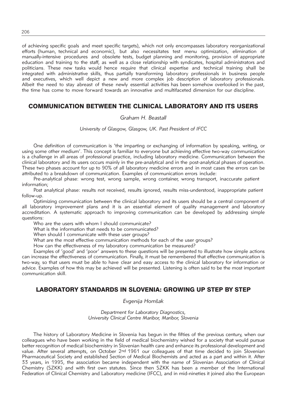of achieving specific goals and meet specific targets), which not only encompasses laboratory reorganizational efforts (human, technical and economic), but also necessitates test menu optimization, elimination of manually-intensive procedures and obsolete tests, budget planning and monitoring, provision of appropriate education and training to the staff, as well as a close relationship with syndicates, hospital administrators and politicians. These new tasks would hence require that clinical expertise and technical training shall be integrated with administrative skills, thus partially transforming laboratory professionals in business people and executives, which well depict a new and more complex job description of laboratory professionals. Albeit the need to stay abreast of these newly essential activities has been somehow overlooked in the past, the time has come to move forward towards an innovative and multifaceted dimension for our discipline.

## COMMUNICATION BETWEEN THE CLINICAL LABORATORY AND ITS USERS

#### *Graham H. Beastall*

*University of Glasgow, Glasgow, UK. Past President of IFCC*

One definition of communication is 'the imparting or exchanging of information by speaking, writing, or using some other medium'. This concept is familiar to everyone but achieving effective two-way communication is a challenge in all areas of professional practice, including laboratory medicine. Communication between the clinical laboratory and its users occurs mainly in the pre-analytical and in the post-analytical phases of operation. These two phases account for up to 90% of all laboratory medicine errors and in most cases the errors can be attributed to a breakdown of communication. Examples of communication errors include:

Pre-analytical phase: wrong test, wrong sample, wrong container, wrong transport, inaccurate patient information;

Post analytical phase: results not received, results ignored, results miss-understood, inappropriate patient follow-up.

Optimizing communication between the clinical laboratory and its users should be a central component of all laboratory improvement plans and it is an essential element of quality management and laboratory accreditation. A systematic approach to improving communication can be developed by addressing simple questions:

Who are the users with whom I should communicate?

What is the information that needs to be communicated?

When should I communicate with these user groups?

What are the most effective communication methods for each of the user groups?

How can the effectiveness of my laboratory communication be measured?

Examples of 'good' and 'poor' answers to these questions will be presented to illustrate how simple actions can increase the effectiveness of communication. Finally, it must be remembered that effective communication is two-way, so that users must be able to have clear and easy access to the clinical laboratory for information or advice. Examples of how this may be achieved will be presented. Listening is often said to be the most important communication skill.

## LABORATORY STANDARDS IN SLOVENIA: GROWING UP STEP BY STEP

*Evgenija Hom{ak*

*Department for Laboratory Diagnostics, University Clinical Centre Maribor, Maribor, Slovenia*

The history of Laboratory Medicine in Slovenia has begun in the fifties of the previous century, when our colleagues who have been working in the field of medical biochemistry wished for a society that would pursue better recognition of medical biochemistry in Slovenian health care and enhance its professional development and value. After several attempts, on October 2nd 1961 our colleagues of that time decided to join Slovenian Pharmaceutical Society and established Section of Medical Biochemists and acted as a part and within it. After 33 years, in 1995, the association became independent with the name of Slovenian Association of Clinical Chemistry (SZKK) and with first own statutes. Since then SZKK has been a member of the International Federation of Clinical Chemistry and Laboratory medicine (IFCC), and in mid-nineties it joined also the European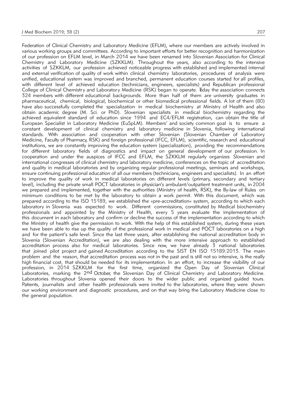Federation of Clinical Chemistry and Laboratory Medicine (EFLM), where our members are actively involved in various working groups and committees. According to important efforts for better recognition and harmonization of our profession on EFLM level, in March 2014 we have been renamed into Slovenian Association for Clinical Chemistry and Laboratory Medicine (SZKKLM). Throughout the years, also according to the intensive activities of SZKKLM, our profession achieved noticeable progress with established and implemented internal and external verification of quality of work within clinical chemistry laboratories, procedures of analysis were unified, educational system was improved and branched, permanent education courses started for all profiles, with different level of achieved education (technicians, engineers, specialists) and Republican professional College of Clinical Chemistry and Laboratory Medicine (RSK) began to operate. Today the association connects 324 members with different educational backgrounds. More than half of them are university graduates in pharmaceutical, chemical, biological, biochemical or other biomedical professional fields. A lot of them (80) have also successfully completed the specialization in medical biochemistry at Ministry of Health and also obtain academic degree (M. Sci. or PhD). Slovenian specialists in medical biochemistry regarding the achieved equivalent standard of education since 1994 and EC4/EFLM registration, can obtain the title of European Specialist in Laboratory Medicine (EuSpLM). Members' and society common goal is to ensure a constant development of clinical chemistry and laboratory medicine in Slovenia, following international standards. With association and cooperation with other Slovenian (Slovenian Chamber of Laboratory Medicine, Faculty of Pharmacy, RSK) and foreign professional (IFCC, EFLM), scientific, research and educational institutions, we are constantly improving the education system (specialization), providing the recommendations for different laboratory fields of diagnostics and impact on general development of our profession. In cooperation and under the auspices of IFCC and EFLM, the SZKKLM regularly organizes Slovenian and international congresses of clinical chemistry and laboratory medicine, conferences on the topic of accreditation and quality in medical laboratories and by organizing regular professional meetings, seminars and workshops, ensure continuing professional education of all our members (technicians, engineers and specialists). In an effort to improve the quality of work in medical laboratories on different levels (primary, secondary and tertiary level), including the private small POCT laboratories in physician's ambulant/outpatient treatment units, in 2004 we prepared and implemented, together with the authorities (Ministry of health, RSK), the By-law of Rules on minimum conditions to be met by the laboratory to obtain a work permit. With this document, which was prepared according to the ISO 15189, we established the »pre-accreditation« system, according to which each laboratory in Slovenia was expected to work. Different commissions, constituted by Medical biochemistry professionals and appointed by the Ministry of Health, every 5 years evaluate the implementation of this document in each laboratory and confirm or decline the success of the implementation according to which the Ministry of health give the permission to work. With the help of this established system, during these years we have been able to rise up the quality of the professional work in medical and POCT laboratories on a high and for the patient's safe level. Since the last three years, after establishing the national accreditation body in Slovenia (Slovenian Accreditation), we are also dealing with the more intensive approach to established accreditation process also for medical laboratories. Since now, we have already 3 national laboratories that joined pilot project and gained Accreditation according to the SIST EN ISO 15189:2013. The main problem and the reason, that accreditation process was not in the past and is still not so intensive, is the really high financial cost, that should be needed for its implementation. In an effort, to increase the visibility of our profession, in 2014 SZKKLM for the first time, organized the Open Day of Slovenian Clinical Laboratories, marking the 2nd October, the Slovenian Day of Clinical Chemistry and Laboratory Medicine. Laboratories throughout Slovenia opened their doors to the wider public and organized guided tours. Patients, journalists and other health professionals were invited to the laboratories, where they were shown our working environment and diagnostic procedures, and on that way bring the Laboratory Medicine close to the general population.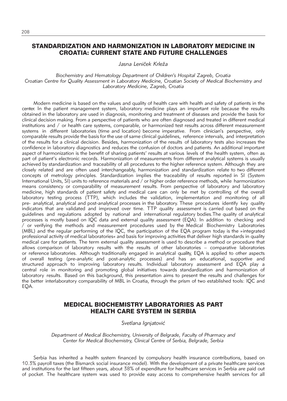### STANDARDIZATION AND HARMONIZATION IN LABORATORY MEDICINE IN CROATIA: CURRENT STATE AND FUTURE CHALLENGES

Jasna Leniček Krleža

*Biochemistry and Hematology Department of Children's Hospital Zagreb, Croatia Croatian Centre for Quality Assessment in Laboratory Medicine, Croatian Society of Medical Biochemistry and Laboratory Medicine, Zagreb, Croatia*

Modern medicine is based on the values and quality of health care with health and safety of patients in the center. In the patient management system, laboratory medicine plays an important role because the results obtained in the laboratory are used in diagnosis, monitoring and treatment of diseases and provide the basis for clinical decision making. From a perspective of patients who are often diagnosed and treated in different medical institutions and / or health care systems, comparable, or harmonized test results across different measurement systems in different laboratories (time and location) become imperative. From clinician's perspective, only comparable results provide the basis for the use of same clinical guidelines, reference intervals, and interpretation of the results for a clinical decision. Besides, harmonization of the results of laboratory tests also increases the confidence in laboratory diagnostics and reduces the confusion of doctors and patients. An additional important aspect of harmonization is the benefit of sharing patients' results at various levels of the health system, often as part of patient's electronic records. Harmonization of measurements from different analytical systems is usually achieved by standardization and traceability of all procedures to the higher reference system. Although they are closely related and are often used interchangeably, harmonization and standardization relate to two different concepts of metrology principles. Standardization implies the traceability of results reported in SI (System International Units, SI) units to reference materials and / or higher order reference methods, while harmonization means consistency or comparability of measurement results. From perspective of laboratory and laboratory medicine, high standards of patient safety and medical care can only be met by controlling of the overall laboratory testing process (TTP), which includes the validation, implementation and monitoring of all pre- analytical, analytical and post-analytical processes in the laboratory. These procedures identify key quality indicators that are validated and improved over time. TTP quality assessment is carried out based on the guidelines and regulations adopted by national and international regulatory bodies.The quality of analytical processes is mostly based on IQC data and external quality assessment (EQA). In addition to checking and / or verifying the methods and measurement procedures used by the Medical Biochemistry Laboratories (MBL) and the regular performing of the IQC, the participation of the EQA program today is the »integrated professional activity of medical laboratories« and basis for improving activities that deliver high standards in quality medical care for patients. The term external quality assessment is used to describe a method or procedure that allows comparison of laboratory results with the results of other laboratories – comparative laboratories or reference laboratories. Although traditionally engaged in analytical quality, EQA is applied to other aspects of overall testing (pre-analytic and post-analytic processes) and has an educational, supportive and structured approach to improving laboratory results. Individual laboratory assessment and EQA play a central role in monitoring and promoting global initiatives towards standardization and harmonization of laboratory results. Based on this background, this presentation aims to present the results and challenges for the better interlaboratory comparability of MBL in Croatia, through the prism of two established tools: IQC and EQA.

## MEDICAL BIOCHEMISTRY LABORATORIES AS PART HEALTH CARE SYSTEM IN SERBIA

*Svetlana Ignjatovi}*

*Department of Medical Biochemistry, University of Belgrade, Faculty of Pharmacy and Center for Medical Biochemistry, Clinical Centre of Serbia, Belgrade, Serbia*

Serbia has inherited a health system financed by compulsory health insurance contributions, based on 10.3% payroll taxes (the Bismarck social insurance model). With the development of a private healthcare services and institutions for the last fifteen years, about 38% of expenditure for healthcare services in Serbia are paid out of pocket. The healthcare system was used to provide easy access to comprehensive health services for all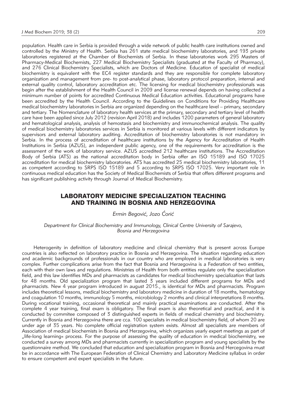population. Health care in Serbia is provided through a wide network of public health care institutions owned and controlled by the Ministry of Health. Serbia has 261 state medical biochemistry laboratories, and 193 private laboratories registered at the Chamber of Biochemists of Serbia. In these laboratories work 295 Masters of Pharmacy-Medical Biochemists, 227 Medical Biochemistry Specialists (graduated at the Faculty of Pharmacy), and 276 Clinical Biochemistry Specialists, which are Doctors of Medicine. Education of specialist of medical biochemistry is equivalent with the EC4 register standards and they are responsible for complete laboratory organization and management from pre- to post-analytical phase, laboratory protocol preparation, internal and external quality control, laboratory accreditation etc. The licensing for medical biochemistry professionals was begin after the establishment of the Health Council in 2009 and license renewal depends on having collected a minimum number of points for accredited Continuous Medical Education activities. Educational programs have been accredited by the Health Council. According to the Guidelines on Conditions for Providing Healthcare medical biochemistry laboratories in Serbia are organized depending on the healthcare level – primary, secondary and tertiary. The Nomenclature of laboratory health services at the primary, secondary and tertiary level of health care have been applied since July 2012 (revision April 2018) and includes 1200 parameters of general laboratory and hematological analysis, analysis of hemostasis and biochemistry and immunochemical analysis. The quality of medical biochemistry laboratories services in Serbia is monitored at various levels with different indicators by supervisors and external laboratory auditing. Accreditation of biochemistry laboratories is not mandatory in Serbia. In the process of accreditation of healthcare institutions by the Agency for Accreditation of Health Institutions in Serbia (AZUS), an independent public agency, one of the requirements for accreditation is the assessment of the work of laboratory service. AZUS accredited 212 healthcare institutions. The Accreditation Body of Serbia (ATS) as the national accreditation body in Serbia offer an ISO 15189 and ISO 17025 accreditation for medical biochemistry laboratories. ATS has accredited 25 medical biochemistry laboratories, 11 as competent according to SRPS ISO 15189 and 5 according to SRPS ISO 17025. Very important role in continuous medical education has the Society of Medical Biochemists of Serbia that offers different programs and has significant publishing activity through Journal of Medical Biochemistry.

## LABORATORY MEDICINE SPECIALIZATION TEACHING AND TRAINING IN BOSNIA AND HERZEGOVINA

#### *Ermin Begović, Jozo Ćorić*

*Department for Clinical Biochemistry and Immunology, Clinical Centre University of Sarajevo, Bosnia and Herzegovina*

Heterogenity in definition of laboratory medicine and clinical chemistry that is present across Europe countries is also reflected on laboratory practice in Bosnia and Herzegovina. The situation regarding education and academic backgrounds of professionals in our country who are employed in medical laboratories is very complex. Further complications arise from the fact that Bosnia and Herzegovina is a Federation of two entities, each with their own laws and regulations. Ministries of Health from both entities regulate only the specialization field, and this law identifies MDs and pharmacists as candidates for medical biochemistry specialization that lasts for 48 months. Old specialization program that lasted 3 years included different programs for MDs and pharmacists. New 4 year program introduced in august 2015., is identical for MDs and pharmacists. Program includes theoretical lessons, medical biochemistry and laboratory medicine in duration of 18 months, hematology and coagulation 10 months, immunology 5 months, microbiology 2 months and clinical interpretations 8 months. During vocational training, occasional theoretical and mainly practical examinations are conducted. After the complete 4 year training, final exam is obligatory. The final exam is also theoretical and practical, and it is conducted by commitee composed of 3 distinguished experts in fields of medical chemistry and biochemistry. Currently in Bosnia and Herzegovina there are cca. 100 specialists in medical biochemistry field, of whom 20 are under age of 35 years. No complete official registration system exists. Almost all specialists are members of Association of medical biochemists in Bosnia and Herzegovina, which organizes yearly expert meetings as part of "life-long learning« process. For the purpose of assessing the quality of education in medical biochemistry, we conducted a survey among MDs and pharmacists currently in specialization program and young specialists by the questionnaire method. We concluded that education and specialization program in Bosnia and Hercegovina must be in accordance with The European Federation of Clinical Chemistry and Laboratory Medicine syllabus in order to ensure competent and expert specialists in the future.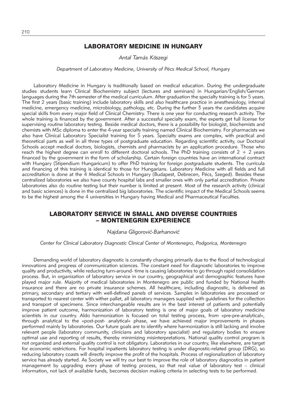## LABORATORY MEDICINE IN HUNGARY

*Antal Tamás Kőszegi*

*Department of Laboratory Medicine, University of Pécs Medical School, Hungary*

Laboratory Medicine in Hungary is traditionally based on medical education. During the undergraduate studies students learn Clinical Biochemistry subject (lectures and seminars) in Hungarian/English/German languages during the 7th semester of the medical curriculum. After graduation the specialty training is for 5 years. The first 2 years (basic training) include laboratory skills and also healthcare practice in anesthesiology, internal medicine, emergency medicine, microbiology, pathology, etc. During the further 3 years the candidates acquire special skills from every major field of Clinical Chemistry. There is one year for conducting research activity. The whole training is financed by the government. After a successful specialty exam, the experts get full license for supervising routine laboratory testing. Beside medical doctors, there is a possibility for biologist, biochemists and chemists with MSc diploma to enter the 4-year specialty training named Clinical Biochemistry. For pharmacists we also have Clinical Laboratory Specialist training for 5 years. Specialty exams are complex, with practical and theoretical parts as well in all three types of postgraduate education. Regarding scientific activity, our Doctoral Schools accept medical doctors, biologists, chemists and pharmacists by an application procedure. Those who reach the highest degree can enroll to different doctoral schools. The PhD training consists of  $2 + 2$  years financed by the government in the form of scholarship. Certain foreign countries have an international contract with Hungary (Stipendium Hungaricum) to offer PhD training for foreign postgraduate students. The curricula and financing of this training is identical to those for Hungarians. Laboratory Medicine with all fields and full accreditation is done at the 4 Medical Schools in Hungary (Budapest, Debrecen, Pécs, Szeged). Besides these centralized laboratories we also have county hospital labs and smaller ones with only partial accreditation. Private laboratories also do routine testing but their number is limited at present. Most of the research activity (clinical and basic sciences) is done in the centralized big laboratories. The scientific impact of the Medical Schools seems to be the highest among the 4 universities in Hungary having Medical and Pharmaceutical Faculties.

#### LABORATORY SERVICE IN SMALL AND DIVERSE COUNTRIES – MONTENEGRIN EXPERIENCE

#### *Najdana Gligorović-Barhanović*

*Center for Clinical Laboratory Diagnostic Clinical Center of Montenegro, Podgorica, Montenegro*

Demanding world of laboratory diagnostic is constantly changing primarily due to the flood of technological innovations and progress of communication sciences. The constant need for diagnostic laboratories to improve quality and productivity, while reducing turn-around- time is causing laboratories to go through rapid consolidation process. But, in organization of laboratory service in our country, geographical and demographic features have played major rule. Majority of medical laboratories in Montenegro are public and funded by National health insurance and there are no private insurance schemes. All healthcare, including diagnostic, is delivered as primary, secondary and tertiary with well-defined panels of services. Samples in laboratories are processed or transported to nearest center with wither pallet, all laboratory managers supplied with guidelines for the collection and transport of specimens. Since interchangeable results are in the best interest of patients and potentially improve patient outcome, harmonization of laboratory testing is one of major goals of laboratory medicine scientists in our country. Aldo harmonization is focused on total testing process, from »pre-pre-analytical«, through analytical to the »post-post- analytical« phase, we have achieved major improvements in phases performed mainly by laboratories. Our future goals are to identify where harmonization is still lacking and involve relevant people (laboratory community, clinicians and laboratory specialist) and regulatory bodies to ensure optimal use and reporting of results, thereby minimizing misinterpretations. National quality control program is not organized and external quality control is not obligatory. Laboratories in our country, like elsewhere, are target for economic restrictions. For hospital inpatients laboratory testing is under diagnostic-related group (DRG), so reducing laboratory coasts will directly improve the profit of the hospitals. Process of regionalization of laboratory service has already started. As Society we will try our best to improve the role of laboratory diagnostics in patient management by upgrading every phase of testing process, so that real value of laboratory test – clinical information, not lack of available funds, becomes decision making criteria in selecting tests to be performed.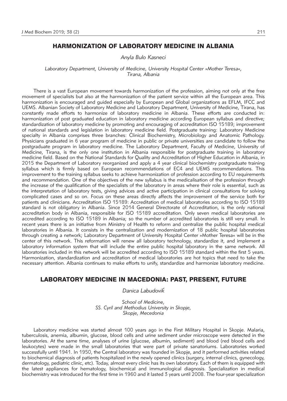## HARMONIZATION OF LABORATORY MEDICINE IN ALBANIA

#### *Anyla Bulo Kasneci*

*Laboratory Department, University of Medicine, University Hospital Center »Mother Teresa«, Tirana, Albania*

There is a vast European movement towards harmonization of the profession, aiming not only at the free movement of specialists but also at the harmonization of the patient service within all the European area. This harmonization is encouraged and guided especially by European and Global organizations as EFLM, IFCC and UEMS. Albanian Society of Laboratory Medicine and Laboratory Department, University of Medicine, Tirana, has constantly made efforts to harmonize of laboratory medicine in Albania. These efforts are conducted in: harmonization of post graduated education in laboratory medicine according European syllabus and directive; standardization of laboratory medicine by promoting and encouraging of accreditation ISO 15189; improvement of national standards and legislation in laboratory medicine field. Postgraduate training: Laboratory Medicine specialty in Albania comprises three branches: Clinical Biochemistry, Microbiology and Anatomic Pathology. Physicians graduated in 6 year program of medicine in public or private universities are candidate to follow the postgraduate program in laboratory medicine. The Laboratory Department, Faculty of Medicine, University of Medicine, Tirana, is the only one institution in Albania responsible for postgraduate training in laboratory medicine field. Based on the National Standards for Quality and Accreditation of Higher Education in Albania, in 2015 the Department of Laboratory reorganized and apply a 4 year clinical biochemistry postgraduate training syllabus which is firmly based on European recommendations of EC4 and UEMS recommendations. This improvement to the training syllabus seeks to achieve harmonization of profession according to EU requirements and recommendation. One of the objectives of the new syllabus is the medicalisation of the profession through the increase of the qualification of the specialists of the laboratory in areas where their role is essential, such as the interpretation of laboratory tests, giving advices and active participation in clinical consultations for solving complicated cases and so on. Focus on these areas directly affects the improvement of the service both for patients and clinicians. Accreditation ISO 15189: Accreditation of medical laboratories according to ISO 15189 standard is not obligatory in Albania. Since 2014 General Directorate of Accreditation, is the only national accreditation body in Albania, responsible for ISO 15189 accreditation. Only seven medical laboratories are accredited according to ISO 15189 in Albania; so the number of accredited laboratories is still very small. In recent years there is an initiative from Ministry of Health to reform and centralize the public hospital medical laboratories in Albania. It consists in the centralization and modernization of 18 public hospital laboratories through creating a network; Laboratory Department of University Hospital Center »Mother Teresa« will be in the center of this network. This reformation will renew all laboratory technology, standardize it, and implement a laboratory information system that will include the entire public hospital laboratory in the same network. All laboratories included in this network will be accredited according to ISO 15189 standard within the first 5 years. Harmonization, standardization and accreditation of medical laboratories are hot topics that need to take the necessary attention. Albania continues to make efforts to unify, standardize and harmonize laboratory medicine.

#### LABORATORY MEDICINE IN MACEDONIA: PAST, PRESENT, FUTURE

#### *Danica Labudovik*´

*School of Medicine, SS. Cyril and Methodius University in Skopje, Skopje, Mecedonia* 

Laboratory medicine was started almost 100 years ago in the First Military Hospital in Skopje. Malaria, tuberculosis, anemia, albumin, glucose, blood cells and urine sediment under microscope were detected in the laboratories. At the same time, analyses of urine (glucose, albumin, sediment) and blood (red blood cells and leukocytes) were made in the small laboratories that were part of private sanatoriums. Laboratories worked successfully until 1941. In 1950, the Central laboratory was founded in Skopje, and it performed activities related to biochemical diagnosis of patients hospitalized in the newly opened clinics (surgery, internal clinics, gynecology, dermatology, pediatric clinic, etc). Today, almost every clinic has its own laboratory. Each of them is equipped with the latest appliances for hematology, biochemical and immunological diagnosis. Specialization in medical biochemistry was introduced for the first time in 1960 and it lasted 3 years until 2008. The four-year specialization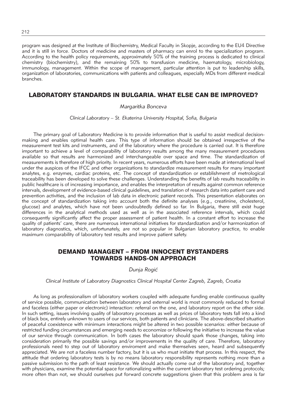program was designed at the Institute of Biochemistry, Medical Faculty in Skopje, according to the EU4 Directive and it is still in force. Doctors of medicine and masters of pharmacy can enrol to the specialization program. According to the health policy requirements, approximately 50% of the training process is dedicated to clinical chemistry (biochemistry), and the remaining 50% to transfusion medicine, haematology, microbiology, immunology, management. Within the scope of management, particular attention is put to leadership skills, organization of laboratories, communications with patients and colleagues, especially MDs from different medical branches.

#### LABORATORY STANDARDS IN BULGARIA. WHAT ELSE CAN BE IMPROVED?

#### *Margaritka Bonceva*

*Clinical Laboratory – St. Ekaterina University Hospital, Sofia, Bulgaria*

The primary goal of Laboratory Medicine is to provide information that is useful to assist medical decisionmaking and enables optimal health care. This type of information should be obtained irrespective of the measurement test kits and instruments, and of the laboratory where the procedure is carried out. It is therefore important to achieve a level of comparability of laboratory results among the many measurement procedures available so that results are harmonized and interchangeable over space and time. The standardization of measurements is therefore of high priority. In recent years, numerous efforts have been made at international level under the auspices of the IFCC and other organizations to standardize measurement results for many important analytes, e.g. enzymes, cardiac proteins, etc. The concept of standardization or establishment of metrological traceability has been developed to solve these challenges. Understanding the benefits of lab results traceability in public healthcare is of increasing importance, and enables the interpretation of results against common reference intervals, development of evidence-based clinical guidelines, and translation of research data into patient care and prevention activities, and the inclusion of lab data in electronic patient records. This presentation elaborates on the concept of standardization taking into account both the definite analyses (e.g., creatinine, cholesterol, glucose) and analytes, which have not been undoubtedly defined so far. In Bulgaria, there still exist huge differences in the analytical methods used as well as in the associated reference intervals, which could consequently significantly affect the proper assessment of patient health. In a constant effort to increase the quality of patients' care, there are numerous international initiatives for standardization and/or harmonization of laboratory diagnostics, which, unfortunately, are not so popular in Bulgarian laboratory practice, to enable maximum comparability of laboratory test results and improve patient safety.

## DEMAND MANAGENT – FROM INNOCENT BYSTANDERS TOWARDS HANDS-ON APPROACH

*Dunja Rogi}*

*Clinical Institute of Laboratory Diagnostics Clinical Hospital Center Zagreb, Zagreb, Croatia*

As long as professionalism of laboratory workers coupled with adequate funding enable continuous quality of service possible, communication between laboratory and external world is most commonly reduced to formal and faceless (either paper or electronic) interaction: referral on the one, and laboratory report on the other side. In such setting, issues involving quality of laboratory processes as well as prices of laboratory tests fall into a kind of black box, entirely unknown to users of our services, both patients and clinicians. The above-described situation of peaceful coexistence with minimum interactions might be altered in two possible scenarios: either because of restricted funding circumstances and emerging needs to economize or following the initiative to increase the value of our service through communication. In both cases the laboratory should spark those changes, taking into consideration primarily the possible savings and/or improvements in the quality of care. Therefore, laboratory professionals need to step out of laboratory enviroment and make themselves seen, heard and subsequently appreciated. We are not a faceless number factory, but it is us who must initiate that process. In this respect, the attitude that ordering laboratory tests is by no means laboratory responsibility represents nothing more than a passive submission to the path of least resistance. We should actually come out of the laboratory and, together with physicians, examine the potential space for rationalizing within the current laboratory test ordering protocols; more often than not, we should ourselves put forward concrete suggestions given that this problem area is far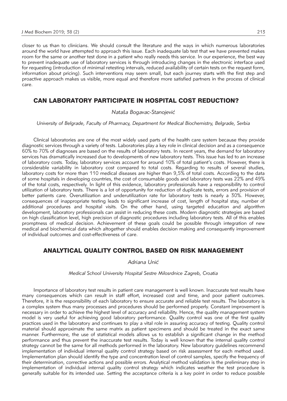closer to us than to clinicians. We should consult the literature and the ways in which numerous laboratories around the world have attempted to approach this issue. Each inadequate lab test that we have prevented makes room for the same or another test done in a patient who really needs this service. In our experience, the best way to prevent inadequate use of laboratory services is through introducing changes in the electronic interface used for requesting (introduction of minimal retesting intervals, reduced availability of certain tests on the request form, information about pricing). Such interventions may seem small, but each journey starts with the first step and proactive approach makes us visible, more equal and therefore more satisfied partners in the process of clinical care.

### CAN LABORATORY PARTICIPATE IN HOSPITAL COST REDUCTION?

#### *Nata{a Bogavac-Stanojevi}*

*University of Belgrade, Faculty of Pharmacy, Department for Medical Biochemistry, Belgrade, Serbia*

Clinical laboratories are one of the most widely used parts of the health care system because they provide diagnostic services through a variety of tests. Laboratories play a key role in clinical decision and as a consequence 60% to 70% of diagnoses are based on the results of laboratory tests. In recent years, the demand for laboratory services has dramatically increased due to developments of new laboratory tests. This issue has led to an increase of laboratory costs. Today, laboratory services account for around 10% of total patient's costs. However, there is considerable variability in laboratory cost compared to total costs. Regarding to results of several studies, laboratory costs for more than 110 medical diseases are higher than 9,5% of total costs. According to the data of some hospitals in developing countries, the cost of consumable goods and laboratory tests was 22% and 49% of the total costs, respectively. In light of this evidence, laboratory professionals have a responsibility to control utilization of laboratory tests. There is a lot of opportunity for reduction of duplicate tests, errors and provision of better patients care. Overutilization and underutilization rate for laboratory tests is nearly a 30%. However, consequences of inappropriate testing leads to significant increase of cost, length of hospital stay, number of additional procedures and hospital visits. On the other hand, using targeted education and algorithm development, laboratory professionals can assist in reducing these costs. Modern diagnostic strategies are based on high classification level, high precision of diagnostic procedures including laboratory tests. All of this enables promptness of medical decision. Achievement of these goals could be possible through integration of new medical and biochemical data which altogether should enables decision making and consequently improvement of individual outcomes and cost-effectiveness of care.

## ANALYTICAL QUALITY CONTROL BASED ON RISK MANAGEMENT

*Adriana Uni}*

*Medical School University Hospital Sestre Milosrdnice Zagreb, Croatia*

Importance of laboratory test results in patient care management is well known. Inaccurate test results have many consequences which can result in staff effort, increased cost and time, and poor patient outcomes. Therefore, it is the responsibility of each laboratory to ensure accurate and reliable test results. The laboratory is a complex system thus many processes and procedures should be performed properly. Constant improvement is necessary in order to achieve the highest level of accuracy and reliability. Hence, the quality management system model is very useful for achieving good laboratory performance. Quality control was one of the first quality practices used in the laboratory and continues to play a vital role in assuring accuracy of testing. Quality control material should approximate the same matrix as patient specimens and should be treated in the exact same manner. Furthermore, the use of statistical models allows us to establish a significant change in the method performance and thus prevent the inaccurate test results. Today is well known that the internal quality control strategy cannot be the same for all methods performed in the laboratory. New laboratory guidelines recommend implementation of individual internal quality control strategy based on risk assessment for each method used. Implementation plan should identify the type and concentration level of control samples, specify the frequency of their determination, corrective actions and possible errors. Analytical method validation is the preliminary step in implementation of individual internal quality control strategy which indicates weather the test procedure is generally suitable for its intended use. Setting the acceptance criteria is a key point in order to reduce possible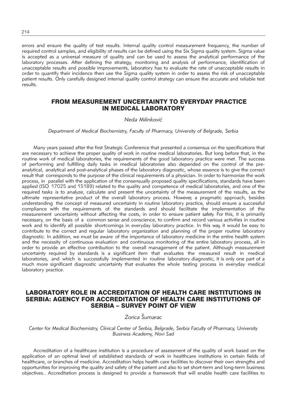errors and ensure the quality of test results. Internal quality control measurement frequency, the number of required control samples, and eligibility of results can be defined using the Six Sigma quality system. Sigma value is accepted as a universal measure of quality and can be used to assess the analytical performance of the laboratory processes. After defining the strategy, monitoring and analysis of performance, identification of unacceptable results and possible improvements, laboratory has to evaluate the rate of unacceptable results in order to quantify their incidence then use the Sigma quality system in order to assess the risk of unacceptable patient results. Only carefully designed internal quality control strategy can ensure the accurate and reliable test results.

## FROM MEASUREMENT UNCERTAINTY TO EVERYDAY PRACTICE IN MEDICAL LABORATORY

#### *Neda Milinkovi}*

#### *Department of Medical Biochemistry, Faculty of Pharmacy, University of Belgrade, Serbia*

Many years passed after the first Strategic Conference that presented a consensus on the specifications that are necessary to achieve the proper quality of work in routine medical laboratories. But long before that, in the routine work of medical laboratories, the requirements of the good laboratory practice were met. The success of performing and fulfilling daily tasks in medical laboratories also depended on the control of the preanalytical, analytical and post-analytical phases of the laboratory diagnostic, whose essence is to give the correct result that corresponds to the purpose of the clinical requirements of a physician. In order to harmonize the work process, in parallel with the application of the consensually proposed quality specifications, standards have been applied (ISO 17025 and 15189) related to the quality and competence of medical laboratories, and one of the required tasks is to analyze, calculate and present the uncertainty of the measurement of the results, as the ultimate representative product of the overall laboratory process. However, a pragmatic approach, besides understanding the concept of measured uncertainty in routine laboratory practice, should ensure a successful compliance with the requirements of the standards and should facilitate the implementation of the measurement uncertainty without affecting the costs, in order to ensure patient safety. For this, it is primarily necessary, on the basis of a common sense and conscience, to confirm and record various activities in routine work and to identify all possible shortcomings in everyday laboratory practice. In this way, it would be easy to contribute to the correct and regular laboratory organization and planning of the proper routine laboratory diagnostic. In addition, we must be aware of the importance of laboratory medicine in the entire health system and the necessity of continuous evaluation and continuous monitoring of the entire laboratory process, all in order to provide an effective contribution to the overall management of the patient. Although measurement uncertainty required by standards is a significant item that evaluates the measured result in medical laboratories, and which is successfully implemented in routine laboratory diagnostic, it is only one part of a much more significant diagnostic uncertainty that evaluates the whole testing process in everyday medical laboratory practice.

## LABORATORY ROLE IN ACCREDITATION OF HEALTH CARE INSTITUTIONS IN SERBIA: AGENCY FOR ACCREDITATION OF HEALTH CARE INSTITUTIONS OF SERBIA – SURVEY POINT OF VIEW

## *Zorica [umarac*

*Center for Medical Biochemistry, Clinical Center of Serbia, Belgrade, Serbia Faculty of Pharmacy, University Business Academy, Novi Sad*

Accreditation of a healthcare institution is a procedure of assessment of the quality of work based on the application of an optimal level of established standards of work in healthcare institutions in certain fields of healthcare, or branches of medicine. Accreditation helps health care facilities to discover their own strengths and opportunities for improving the quality and safety of the patient and also to set short-term and long-term business objectives.. Accreditation process is designed to provide a framework that will enable health care facilities to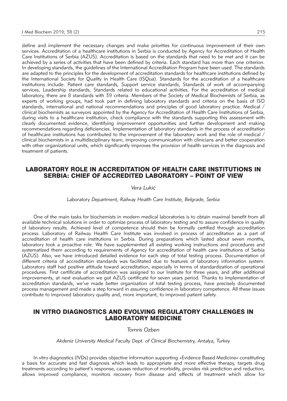define and implement the necessary changes and make priorities for continuous improvement of their own services. Accreditation of a healthcare institutions in Serbia is conducted by Agency for Accreditation of Health Care Institutions of Serbia (AZUS). Accreditation is based on the standards that need to be met and it can be achieved by a series of activities that have been defined by criteria. Each standard has more than one criterion. In developing standards, the guidelines of the International Accreditation Program have been used. The standards are adapted to the principles for the development of accreditation standards for healthcare institutions defined by the International Society for Quality in Health Care (ISQua). Standards for the accreditation of a healthcare institutions include: Patient care standards, Support service standards, Standards of work of accompanying services, Leadership standards, Standards related to educational activities. For the accreditation of medical laboratory, there are 8 standards with 39 criteria. Members of the Society of Medical Biochemists of Serbia, as experts of working groups, had took part in defining laboratory standards and criteria on the basis of ISO standards, international and national recommendations and principles of good laboratory practice. Medical / clinical biochemists as surveyors appointed by the Agency for Accreditation of Health Care Institutions of Serbia, during visits to a healthcare institution, check compliance with the standards supporting this assessment with clearly documented evidence, identifying improvement opportunities and further development and making recommendations regarding deficiencies. Implementation of laboratory standards in the process of accreditation of healthcare institutions has contributed to the improvement of the laboratory work and the role of medical / clinical biochemists in a multidisciplinary team, improving communication with clinicians and better cooperation with other organizational units, which significantly improves the provision of health services in the diagnosis and treatment of patients.

## LABORATORY ROLE IN ACCREDITATION OF HEALTH CARE INSTITUTIONS IN SERBIA: CHIEF OF ACCREDITED LABORATORY – POINT OF VIEW

#### *Vera Luki}*

#### *Laboratory Department, Railway Health Care Institute, Belgrade, Serbia*

One of the main tasks for biochemists in modern medical laboratories is to obtain maximal benefit from all available technical solutions in order to optimize process of laboratory testing and to assure confidence in quality of laboratory results. Achieved level of competence should then be formally certified through accreditation process. Laboratory of Railway Health Care Institute was involved in process of accreditation as a part of accreditation of health care institutions in Serbia. During preparations which lasted about seven months, laboratory took a proactive role. We have supplemented all existing working instructions and procedures and systematized them according to requirements of Agency for accreditation of health care institutions of Serbia (AZUS). Also, we have introduced detailed evidence for each step of total testing process. Documentation of different criteria of accreditation standards was facilitated due to features of laboratory information system. Laboratory staff had positive attitude toward accreditation, especially in terms of standardization of operational procedures. First certificate of accreditation was assigned to our Institute for three years, and after additional improvements, at next evaluation we got AZUS certificate for seven years period. Thanks to implementation of accreditation standards, we've made better organization of total testing process, have precisely documented process management and made a step forward in assuring confidence in laboratory competence. All these issues contribute to improved laboratory quality and, more important, to improved patient safety.

#### IN VITRO DIAGNOSTICS AND EVOLVING REGULATORY CHALLENGES IN LABORATORY MEDICINE

#### *Tomris Ozben*

*Akdeniz University Medical Faculty Dept. of Clinical Biochemistry, Antalya, Turkey*

In vitro diagnostics (IVDs) provides objective information supporting »Evidence Based Medicine« constituting a basis for accurate and fast diagnosis which leads to appropriate and more effective therapy, targets drug treatments according to patient's response, causes reduction of morbidity, provides risk prediction and reduction, allows improved compliance, monitors recovery from disease and effects of treatment which allow for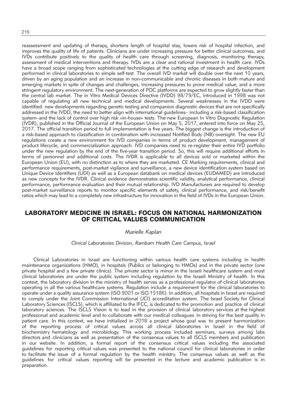reassessment and updating of therapy, shortens length of hospital stay, lowers risk of hospital infection, and improves the quality of life of patients. Clinicians are under increasing pressure for better clinical outcomes, and IVDs contribute positively to the quality of health care through screening, diagnosis, monitoring therapy, assessment of medical interventions and therapy. IVDs are a clear and rational investment in health care. IVDs have a broad scope ranging from sophisticated technologies at the cutting edge of research and development performed in clinical laboratories to simple self-test. The overall IVD market will double over the next 10 years, driven by an aging population and an increase in non-communicable and chronic diseases in both mature and emerging markets in spite of changes and challenges, increasing pressures to prove medical value, and a more stringent regulatory environment. The next-generation of POC platforms are expected to grow slightly faster than the central lab market. The in Vitro Medical Devices Directive (IVDD) 98/79/EC, introduced in 1998 was not capable of regulating all new technical and medical developments. Several weaknesses in the IVDD were identified: new developments regarding genetic testing and companion diagnostic devices that are not specifically addressed in the IVDD, the need to better align with international guidelines– including a risk-based classification system–and the lack of control over high risk »in-house« tests. The new European In Vitro Diagnostic Regulation (IVDR), published in the Official Journal of the European Union on May 5, 2017, entered into force on May 25, 2017. The official transition period to full implementation is five years. The biggest change is the introduction of a risk-based approach to classification in combination with increased Notified Body (NB) oversight. The new EU regulations create a new environment for IVD companies in terms of product development, management of product lifecycle, and commercialization approach. IVD companies need to re-register their entire IVD portfolio under the new regulation by the end of the five-year transition period. So, this will require additional efforts in terms of personnel and additional costs. The IVDR is applicable to all devices sold or marketed within the European Union (EU), with no distinction as to where they are marketed. CE Marking requirements, clinical and performance requirements, post-market vigilance and surveillance, a new device identification system based on Unique Device Identifiers (UDI) as well as a European databank on medical devices (EUDAMED) are introduced as new concepts for the IVDR. Clinical evidence demonstrates scientific validity, analytical performance, clinical performance, performance evaluation and their mutual relationship. IVD Manufacturers are required to develop post-market surveillance reports to monitor specific elements of safety, clinical performance, and risk/benefit ratios which may lead to a completely new infrastructure for innovation in the field of IVDs in the European Union.

### LABORATORY MEDICINE IN ISRAEL: FOCUS ON NATIONAL HARMONIZATION OF CRITICAL VALUES COMMUNICATION

#### *Marielle Kaplan*

#### *Clinical Laboratories Division, Rambam Health Care Campus, Israel*

Clinical Laboratories in Israel are functioning within various health care systems including in health maintenance organizations (HMO), in hospitals (Publics or belonging to HMOs) and in the private sector (one private hospital and a few private clinics). The private sector is minor in the Israeli healthcare system and most clinical laboratories are under the public system including regulation by the Israeli Ministry of health. In this context, the laboratory division in the ministry of health serves as a professional regulator of clinical laboratories operating in all the various healthcare systems. Regulation include a requirement for the clinical laboratories to operate under a quality assurance system (ISO 9001 or ISO 15186). In addition, all hospitals in Israel are required to comply under the Joint Commission International (JCI) accreditation system. The Israel Society for Clinical Laboratory Sciences (ISCLS), which is affiliated to the IFCC, is dedicated to the promotion and practice of clinical laboratory sciences. The ISCLS Vision is to lead in the provision of clinical laboratory services at the highest professional and academic level and to collaborate with our medical colleagues in striving for the best quality in patient care. In this context, we have initialized in 2018 a project whose goal was to present harmonization of the reporting process of critical values across all clinical laboratories in Israel in the field of biochemistry hematology and microbiology. This working process included seminars, surveys among labs directors and clinicians as well as presentation of the consensus values to all ISCLS members and publication in our website. In addition, a formal report of the consensus critical values including the associated guidelines for reporting critical values was presented to the national council for clinical laboratories in order to facilitate the issue of a formal regulation by the health ministry. The consensus values as well as the guidelines for critical values reporting will be presented in the lecture and academic publication is in preparation.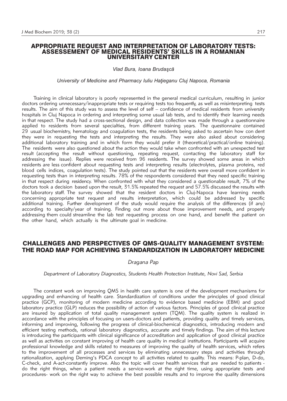#### APPROPRIATE REQUEST AND INTERPRETATION OF LABORATORY TESTS: ASSESSEMENT OF MEDICAL RESIDENTS' SKILLS IN A ROMANIAN UNIVERSITARY CENTER

*Vlad Bura, Ioana Brudască* 

*University of Medicine and Pharmacy Iuliu Haţieganu Cluj Napoca, Romania*

Training in clinical laboratory is poorly represented in the general medical curriculum, resulting in junior doctors ordering unnecessary/inappropriate tests or requiring tests too frequently, as well as misinterpreting tests results. The aim of this study was to assess the level of self – confidence of medical residents from university hospitals in Cluj Napoca in ordering and interpreting some usual lab tests, and to identify their learning needs in that respect. The study had a cross-sectional design, and data collection was made through a questionnaire applied to residents from several specialties, from different training years. The questionnaire contained 29 usual biochemistry, hematology and coagulation tests, the residents being asked to ascertain how con dent they were in requesting the tests and interpreting the results. They were also asked about considering additional laboratory training and in which form they would prefer it (theoretical/practical/online training). The residents were also questioned about the action they would take when confronted with an unexpected test result (accepting the result without questioning, repeating request, contacting the laboratory staff for addressing the issue). Replies were received from 96 residents. The survey showed some areas in which residents are less confident about requesting tests and interpreting results (electrolytes, plasma proteins, red blood cells indices, coagulation tests). The study pointed out that the residents were overall more confident in requesting tests than in interpreting results. 78% of the respondents considered that they need specific training in that respect during residency. When confronted with what they considered a questionable result, 7% of the doctors took a decision based upon the result, 31.5% repeated the request and 57.5% discussed the results with the laboratory staff. The survey showed that the resident doctors in Cluj-Napoca have learning needs concerning appropriate test request and results interpretation, which could be addressed by specific additional training. Further development of the study would require the analysis of the differences (if any) according to specialty/year of training. Finding out more about those improvement needs, and properly addressing them could streamline the lab test requesting process on one hand, and benefit the patient on the other hand, which actually is the ultimate goal in medicine.

#### CHALLENGES AND PERSPECTIVES OF QMS-QUALITY MANAGEMENT SYSTEM: THE ROAD MAP FOR ACHIEVING STANDARDIZATION IN LABORATORY MEDICINE

#### *Dragana Pap*

*Department of Laboratory Diagnostics, Students Health Protection Institute, Novi Sad, Serbia*

The constant work on improving QMS in health care system is one of the development mechanisms for upgrading and enhancing of health care. Standardization of conditions under the principles of good clinical practice (GCP), monitoring of modern medicine according to evidence based medicine (EBM) and good laboratory practice (GLP) reduces the possibility of action of various factors. Principles of good clinical practice are insured by application of total quality management system (TQM). The quality system is realized in accordance with the principles of focusing on users-doctors and patients, providing quality and timely services, informing and improving, following the progress of clinical-biochemical diagnostics, introducing modern and efficient testing methods, rational laboratory diagnostics, accurate and timely findings. The aim of this lecture is introducing the participants with clinical significance of accreditation and application of good clinical practice as well as activities on constant improving of health care quality in medical institutions. Participants will acquire professional knowledge and skills related to measures of improving the quality of health services, which refers to the improvement of all processes and services by eliminating unnecessary steps and activities through rationalization, applying Deming's PDCA concept to all activities related to quality. This means: P-plan, D-do, C-check, and A-act-constantly improve. Also the topic will cover health services that are needed to patients do the right things, when a patient needs a service-work at the right time, using appropriate tests and procedures- work on the right way to achieve the best possible results and to improve the quality dimensions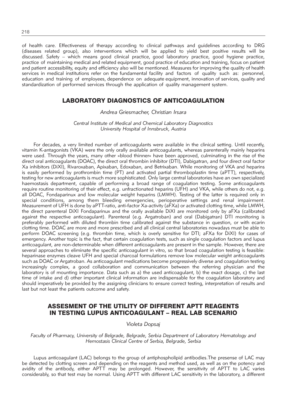of health care. Effectiveness of therapy according to clinical pathways and guidelines according to DRG (diseases related group), also interventions which will be applied to yield best positive results will be discussed. Safety – which means good clinical practice, good laboratory practice, good hygiene practice, practice of maintaining medical and related equipment, good practice of education and training, focus on patient and patient accessibility, equity and efficiency also will be mentioned. Measures for improving the quality of health services in medical institutions refer on the fundamental facility and factors of quality such as: personnel, education and training of employees, dependence on adequate equipment, innovation of services, quality and standardization of performed services through the application of quality management system.

## LABORATORY DIAGNOSTICS OF ANTICOAGULATION

#### *Andrea Griesmacher, Christian Irsara*

*Central Institute of Medical and Chemical Laboratory Diagnostics University Hospital of Innsbruck, Austria*

For decades, a very limited number of anticoagulants were available in the clinical setting. Until recently, vitamin K-antagonists (VKA) were the only orally available anticoagulants, whereas parenterally mainly heparins were used. Through the years, many other »blood thinner« have been approved, culminating in the rise of the direct oral anticoagulants (DOAC), the direct oral thrombin inhibitor (DTI), Dabigatran, and four direct oral factor Xa inhibitors (DiXI), Rivaroxaban, Apixaban, Edoxaban, and Betrixaban. While monitoring of VKA and heparins is easily performed by prothrombin time (PT) and activated partial thromboplastin time (aPTT), respectively, testing for new anticoagulants is much more sophisticated. Only large central laboratories have an own specialized haemostasis department, capable of performing a broad range of coagulation testing. Some anticoagulants require routine monitoring of their effect, e.g. unfractionated heparins (UFH) and VKA, while others do not, e.g. all DOAC, Fondaparinux and low molecular weight heparins (LMWH). Testing of the latter is required only in special conditions, among them bleeding emergencies, perioperative settings and renal impairment. Measurement of UFH is done by aPTT-ratio, anti-factor Xa-activity (aFXa) or activated clotting time, while LMWH, the direct parenteral DiXI Fondaparinux and the orally available DiXI are monitored only by aFXa (calibrated against the respective anticoagulant). Parenteral (e.g. Argatroban) and oral (Dabigatran) DTI monitoring is preferably performed with diluted thrombin time calibrated against the substance in question, or with ecarin clotting time. DOAC are more and more prescribed and all clinical central laboratories nowadays must be able to perform DOAC screening (e.g. thrombin time, which is overly sensitive for DTI; aFXa for DiXI) for cases of emergency. Another topic is the fact, that certain coagulation tests, such as single coagulation factors and lupus anticoagulant, are non-determinable when different anticoagulants are present in the sample. However, there are several approaches to eliminate the specific anticoagulant in vitro, so that broad coagulation testing is feasible: heparinase enzymes cleave UFH and special charcoal formulations remove low molecular weight anticoagulants such as DOAC or Argatroban. As anticoagulant medications become progressively diverse and coagulation testing increasingly complex, a good collaboration and communication between the referring physician and the laboratory is of mounting importance. Data such as a) the used anticoagulant, b) the exact dosage, c) the last time of intake and d) other important clinical information are indispensable for the coagulation laboratory and should imperatively be provided by the assigning clinicians to ensure correct testing, interpretation of results and last but not least the patients outcome and safety.

## ASSESMENT OF THE UTILITY OF DIFFERENT APTT REAGENTS IN TESTING LUPUS ANTICOAGULANT – REAL LAB SCENARIO

#### *Violeta Dopsaj*

*Faculty of Pharmacy, University of Belgrade, Belgrade, Serbia Department of Laboratory Hematology and Hemostasis Clinical Centre of Serbia, Belgrade, Serbia*

Lupus anticoagulant (LAC) belongs to the group of antiphospholipid antibodies.The presense of LAC may be detected by clotting screen and depending on the reagents and method used, as well as on the potency and avidity of the antibody, either APTT may be prolonged. However, the sensitivity of APTT to LAC varies considerably, so that test may be normal. Using APTT with different LAC sensitivity in the laboratory, a different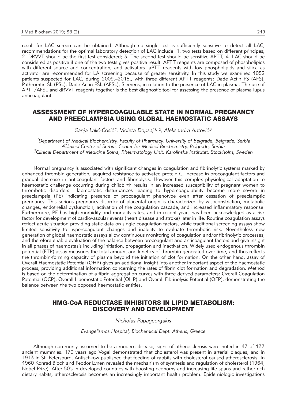result for LAC screen can be obtained. Although no single test is sufficiently sensitive to detect all LAC, recommendations for the optimal laboratory detection of LAC include: 1. two tests based on different principes; 2. DRVVT should be the first test considered; 3. The second test should be sensitive APTT; 4. LAC should be considered as positive if one of the two tests gives positive result. APTT reagents are composed of phospholipids with different source and concentration, and activators. aPTT reagents with low phospholipids and silica as activator are recommended for LA screening because of greater sensitivity. In this study we examined 1052 patients suspected for LAC, during 2009.–2015., with three different APTT reagents: Dade Actin FS (AFS), Pathromtin SL (PSL), Dade Actin FSL (AFSL), Siemens, in relation to the presence of LAC in plasma. The use of APTT/AFSL and dRVVT reagents together is the best diagnostic tool for assessing the presence of plasma lupus anticoagulant.

#### ASSESSMENT OF HYPERCOAGULABLE STATE IN NORMAL PREGNANCY AND PREECLAMPSIA USING GLOBAL HAEMOSTATIC ASSAYS

Sanja Lalić-Ćosić<sup>1</sup>, Violeta Dopsaj<sup>1, 2</sup>, Aleksandra Antović<sup>3</sup>

*1Department of Medical Biochemistry, Faculty of Pharmacy, University of Belgrade, Belgrade, Serbia 2Clinical Center of Serbia, Center for Medical Biochemistry, Belgrade, Serbia 3Clinical Department of Medicine Solna, Rheumatology Unit, Karolinska Institutet, Stockholm, Sweden*

Normal pregnancy is associated with significant changes in coagulation and fibrinolytic systems marked by enhanced thrombin generation, acquired resistance to activated protein C, increase in procoagulant factors and gradual decrease in anticoagulant factors and fibrinolysis. However this complex physiological adaptation to haemostatic challenge occurring during childbirth results in an increased susceptibility of pregnant women to thrombotic disorders. Haemostatic disturbances leading to hypercoagulability become more severe in preeclampsia (PE) indicating presence of procoagulant phenotype even after cessation of preeclamptic pregnancy. This serious pregnancy disorder of placental origin is characterized by vasoconstriction, metabolic changes, endothelial dysfunction, activation of the coagulation cascade, and increased inflammatory response. Furthermore, PE has high morbidity and mortality rates, and in recent years has been acknowledged as a risk factor for development of cardiovascular events (heart disease and stroke) later in life. Routine coagulation assays reflect acute situation providing static data on single coagulation factors, while traditional screening assays show limited sensitivity to hypercoagulant changes and inability to evaluate thrombotic risk. Nevertheless new generation of global haemostatic assays allow continuous monitoring of coagulation and/or fibrinolytic processes, and therefore enable evaluation of the balance between procoagulant and anticoagulant factors and give insight in all phases of haemostasis including initiation, propagation and inactivation. Widely used endogenous thrombin potential (ETP) assay measures the total amount and kinetics of thrombin generated over time, and thus reflects the thrombin-forming capacity of plasma beyond the initiation of clot formation. On the other hand, assay of Overall Haemostatic Potential (OHP) gives an additional insight into another important aspect of the haemostatic process, providing additional information concerning the rates of fibrin clot formation and degradation. Method is based on the determination of a fibrin aggregation curves with three derived parameters: Overall Coagulation Potential (OCP), Overall Haemostatic Potential (OHP) and Overall Fibrinolysis Potential (OFP), demonstrating the balance between the two opposed haemostatic entities.

### HMG-CoA REDUCTASE INHIBITORS IN LIPID METABOLISM: DISCOVERY AND DEVELOPMENT

#### *Nicholas Papageorgakis*

*Evangelismos Hospital, Biochemical Dept. Athens, Greece*

Although commonly assumed to be a modern disease, signs of atherosclerosis were noted in 47 of 137 ancient mummies. 170 years ago Vogel demonstrated that cholesterol was present in arterial plaques, and in 1913 in St. Petersburg, Antischkow published that feeding of rabbits with cholesterol caused atherosclerosis. In 1960 Konrad Bloch and Feodor Lynen revealed the mechanism of synthesis and regulation of cholesterol (1964, Nobel Prize). After 50's in developed countries with boosting economy and increasing life spans and rather rich dietary habits, atherosclerosis becomes an increasingly important health problem. Epidemiologic investigations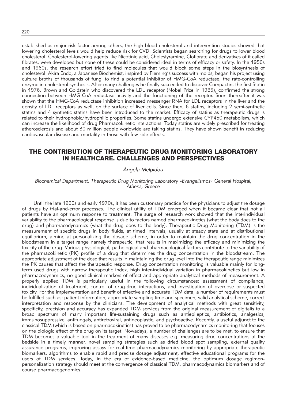established as major risk factor among others, the high blood cholesterol and intervention studies showed that lowering cholesterol levels would help reduce risk for CVD. Scientists began searching for drugs to lower blood cholesterol. Cholesterol-lowering agents like Nicotinic acid, Cholestyramine, Clofibrate and derivatives of it called fibrates, were developed but none of these could be considered ideal in terms of efficacy or safety. In the 1950s and 1960s, the research effort tried to find molecules that would block some steps in the biosynthesis of cholesterol. Akira Endo, a Japanese Biochemist, inspired by Fleming's success with molds, began his project using culture broths of thousands of fungi to find a potential inhibitor of HMG-CoA reductase, the rate-controlling enzyme in cholesterol synthesis. After many challenges he finally succeeded to discover Compactin, the first Statin in 1976. Brown and Goldstein who discovered the LDL receptor (Nobel Prize in 1985), confirmed the strong connection between HMG-CoA reductase activity and the functioning of the receptor. Soon thereafter it was shown that the HMG-CoA reductase inhibition increased messenger RNA for LDL receptors in the liver and the density of LDL receptors as well, on the surface of liver cells. Since then, 6 statins, including 2 semi-synthetic statins and 4 synthetic statins have been introduced to the market. Efficacy of statins as therapeutic drugs is related to their hydrophobic/hydrophilic properties. Some statins undergo extensive CYP450 metabolism, which can increase the likelihood of drug Pharmacokinetic interactions. Today statins are widely prescribed for treating atherosclerosis and about 30 million people worldwide are taking statins. They have shown benefit in reducing cardiovascular disease and mortality in those with few side effects.

## THE CONTRIBUTION OF THERAPEUTIC DRUG MONITORING LABORATORY IN HEALTHCARE. CHALLENGES AND PERSPECTIVES

#### *Angela Melpidou*

#### *Biochemical Department, Therapeutic Drug Monitoring Laboratory »Evangelismos« General Hospital, Athens, Greece*

Until the late 1960s and early 1970s, it has been customary practice for the physicians to adjust the dosage of drugs by trial-and-error processes. The clinical utility of TDM emerged when it became clear that not all patients have an optimum response to treatment. The surge of research work showed that the interindividual variability to the pharmacological response is due to factors named pharmacokinetics (what the body does to the drug) and pharmacodynamics (what the drug does to the body). Therapeutic Drug Monitoring (TDM) is the measurement of specific drugs in body fluids, at timed intervals, usually at steady state and at distributional equilibrium, aiming at personalizing the dosage scheme, in order to maintain the drug concentration in the bloodstream in a target range namely therapeutic, that results in maximizing the efficacy and minimizing the toxicity of the drug. Various physiological, pathological and pharmacological factors contribute to the variability of the pharmacokinetic (PK) profile of a drug that determines the drug concentration in the bloodstream. The appropriate adjustment of the dose that results in maintaining the drug level into the therapeutic range minimizes the PK causes that affect the therapeutic response. Drug concentration monitoring is valuable mainly for longterm used drugs with narrow therapeutic index, high inter-individual variation in pharmacokinetics but low in pharmacodynamics, no good clinical markers of effect and appropriate analytical methods of measurement. A properly applied TDM is particularly useful in the following circumstances: assessment of compliance, individualization of treatment, control of drug-drug interactions, and investigation of overdose or suspected toxicity. For the implementation and benefit of effective and accurate TDM data, a number of requirements must be fulfilled such as: patient information, appropriate sampling time and specimen, valid analytical scheme, correct interpretation and response by the clinicians. The development of analytical methods with great sensitivity, specificity, precision and accuracy has expanded TDM services from the original measurement of digitalis to a broad spectrum of many important life-sustaining drugs such as antiepileptics, antibiotics, analgesics, immunosuppressive, antifungals, antiretroviral, antineoplastic, and psychoactive. Recently, a useful adjunct to the classical TDM (which is based on pharmacokinetics) has proved to be pharmacodynamics monitoring that focuses on the biologic effect of the drug on its target. Nowadays, a number of challenges are to be met, to ensure that TDM becomes a valuable tool in the treatment of many diseases e.g. measuring drug concentrations at the bedside in a timely manner, novel sampling strategies such as dried blood spot sampling, external quality assurance programs, improving assays for real-time pharmacodynamics monitoring by appropriate therapeutic biomarkers, algorithms to enable rapid and precise dosage adjustment, effective educational programs for the users of TDM services. Today, in the era of evidence-based medicine, the optimum dosage regimenpersonalization strategy should meet at the convergence of classical TDM, pharmacodynamics biomarkers and of course pharmacogenomics.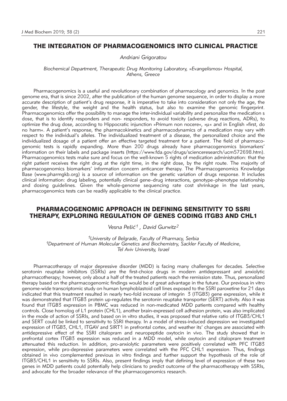## THE INTEGRATION OF PHARMACOGENOMICS INTO CLINICAL PRACTICE

#### *Andriani Grigoratou*

*Biochemical Department, Therapeutic Drug Monitoring Laboratory, »Evangelismos« Hospital, Athens, Greece*

Pharmacogenomics is a useful and revolutionary combination of pharmacology and genomics. In the post genome era, that is since 2002, after the publication of the human genome sequence, in order to display a more accurate description of patient's drug response, it is imperative to take into consideration not only the age, the gender, the lifestyle, the weight and the health status, but also to examine the genomic fingerprint. Pharmacogenomics offer the possibility to manage the inter-individual variability and personalize the medication s dose, that is to identify responders and non- responders, to avoid toxicity (adverse drug reactions, ADRs), to optimize the drug dose, according to Hippocratic injunction »Primum non nocere«, »u« and in English »first, do no harm«. A patient's response, the pharmacokinetics and pharmacodynamics of a medication may vary with respect to the individual's alleles. The individualized treatment of a disease, the personalized choice and the individualized dosage of a patient offer an effective targeted treatment for a patient. The field of pharmacogenomic tests is rapidly expanding. More than 200 drugs already have pharmacogenomics biomarkers' information on their labels and package inserts (https://www.fda.gov/drugs/scienceresearch/ucm572698.htm). Pharmacogenomics tests make sure and focus on the well-known 5 rights of medication administration: that the right patient receives the right drug at the right time, in the right dose, by the right route. The majority of pharmacogenomics biomarkers' information concern anticancer therapy. The Pharmacogenomics Knowledge Base (www.pharmgkb.org) is a source of information on the genetic variation of drugs response. It includes clinical information: drug labeling, potentially clinical gene–drug interactions, genotype–phenotype relationship and dosing guidelines. Given the whole-genome sequencing rate cost shrinkage in the last years, pharmacogenomics tests can be readily applicable to the clinical practice.

#### PHARMACOGENOMIC APPROACH IN DEFINING SENSITIVITY TO SSRI THERAPY, EXPLORING REGULATION OF GENES CODING ITGB3 AND CHL1

*Vesna Pe{i}1 , David Gurwitz2*

*1University of Belgrade, Faculty of Pharmacy, Serbia 1Department of Human Molecular Genetics and Biochemistry, Sackler Faculty of Medicine, Tel Aviv University, Israel*

Pharmacotherapy of major depressive disorder (MDD) is facing many challenges for decades. Selective serotonin reuptake inhibitors (SSRIs) are the first-choice drugs in modern antidepressant and anxiolytic pharmacotherapy; however, only about a half of the treated patients reach the remission state. Thus, personalized therapy based on the pharmacogenomic findings would be of great advantage in the future. Our previous in vitro genome-wide transcriptomic study on human lymphoblastoid cell lines exposed to the SSRI paroxetine for 21 days indicated that this treatment resulted in nearly two-fold increase of integrin 3 (ITGB3) gene expression, while it was demonstrated that ITGB3 protein up-regulates the serotonin reuptake transporter (SERT) activity. Also it was found that ITGB3 expression in PBMC was reduced in non-medicated MDD patients compared with healthy controls. Close homolog of L1 protein (CHL1), another brain-expressed cell adhesion protein, was also implicated in the mode of action of SSRIs, and based on in vitro studies, it was proposed that relative ratio of ITGB3/CHL1 and SERT could be linked to sensitivity to SSRI therapy. In a model of stress-induced depression we investigated expression of ITGB3, CHL1, ITGAV and SIRT1 in prefrontal cortex, and weather its' changes are associated with antidepressive effect of the SSRI citalopram and neuropeptide oxytocin in vivo. The study showed that in prefrontal cortex ITGB3 expression was reduced in a MDD model, while oxytocin and citalopram treatment attenuated this reduction. In addition, pro-anxiolytic parameters were positively correlated with PFC ITGB3 expression, while pro-depressive parameters were correlated with the PFC CHL1 expression. Thus, findings obtained in vivo complemented previous in vitro findings and further support the hypothesis of the role of ITGB3/CHL1 in sensitivity to SSRIs. Also, present findings imply that defining level of expression of these two genes in MDD patients could potentially help clinicians to predict outcome of the pharmacotherapy with SSRIs, and advocate for the broader relevance of the pharmacogenomics research.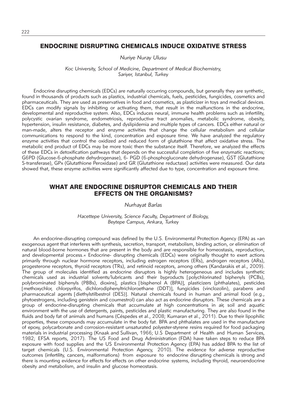## ENDOCRINE DISRUPTING CHEMICALS INDUCE OXIDATIVE STRESS

*Nuriye Nuray Ulusu*

*Koc University, School of Medicine, Department of Medical Biochemistry, Sariyer, Istanbul, Turkey*

Endocrine disrupting chemicals (EDCs) are naturally occurring compounds, but generally they are synthetic, found in thousands of products such as plastics, industrial chemicals, fuels, pesticides, fungicides, cosmetics and pharmaceuticals. They are used as preservatives in food and cosmetics, as plasticizer in toys and medical devices. EDCs can modify signals by inhibiting or activating them, that result in the malfunctions in the endocrine, developmental and reproductive system. Also, EDCs induces neural, immune health problems such as infertility, polycystic ovarian syndrome, endometriosis, reproductive tract anomalies, metabolic syndrome, obesity, hypertension, insulin resistance, diabetes, and dyslipidemia and multiple types of cancers. EDCs either natural or man-made, alters the receptor and enzyme activities that change the cellular metabolism and cellular communications to respond to the kind, concentration and exposure time. We have analyzed the regulatory enzyme activities that control the oxidized and reduced form of glutathione that affect oxidative stress. The metabolic end product of EDCs may be more toxic then the substance itself. Therefore, we analyzed the effects of these EDCs in detoxification pathways that depends on the successful completion of five enzymatic reactions; G6PD (Glucose-6-phosphate dehydrogenase), 6- PGD (6-phosphogluconate dehydrogenase), GST (Glutathione S-transferase), GPx (Glutathione Peroxidase) and GR (Glutathione reductase) activities were measured. Our data showed that, these enzyme activities were significantly affected due to type, concentration and exposure time.

#### WHAT ARE ENDOCRINE DISRUPTOR CHEMICALS AND THEIR EFFECTS ON THE ORGANISMS?

*Nurhayat Barlas*

*Hacettepe University, Science Faculty, Department of Biology, Beytepe Campus, Ankara, Turkey*

An endocrine-disrupting compound was defined by the U.S. Environmental Protection Agency (EPA) as »an exogenous agent that interferes with synthesis, secretion, transport, metabolism, binding action, or elimination of natural blood-borne hormones that are present in the body and are responsible for homeostasis, reproduction, and developmental process.« Endocrine- disrupting chemicals (EDCs) were originally thought to exert actions primarily through nuclear hormone receptors, including estrogen receptors (ERs), androgen receptors (ARs), progesterone receptors, thyroid receptors (TRs), and retinoid receptors, among others (Kandarakis et al., 2009). The group of molecules identified as endocrine disruptors is highly heterogeneous and includes synthetic chemicals used as industrial solvents/lubricants and their byproducts [polychlorinated biphenyls (PCBs), polybrominated biphenyls (PBBs), dioxins], plastics [bisphenol A (BPA)], plasticizers (phthalates), pesticides -methoxychlor, chlorpyrifos, dichlorodiphenyltrichloroethane (DDT), fungicides (vinclozolin), parabens and pharmaceutical agents [diethylstilbestrol (DES)]. Natural chemicals found in human and animal food (e.g., phytoestrogens, including genistein and coumestrol) can also act as endocrine disruptors. These chemicals are a group of endocrine-disrupting chemicals that accumulate at high concentrations in air, soil and aquatic environment with the use of detergents, paints, pesticides and plastic manufacturing. They are also found in the fluids and body fat of animals and humans (Céspedes et al., 2008; Kumaran et al., 2011). Due to their lipophilic properties, these compounds may accumulate in the body fat. BPA and phthalates are used in the manufacture of epoxy, polycarbonate and corrosion-resistant unsaturated polyester-styrene resins required for food packaging materials in industrial processing (Knaak and Sullivan, 1966; U.S Department of Health and Human Services, 1982; EFSA reports, 2017). The US Food and Drug Administration (FDA) have taken steps to reduce BPA exposure with food supplies and the US Environmental Protection Agency (EPA) has added BPA to the list of target chemicals (U.S. Environmental Protection Agency, 2010). The evidence for adverse reproductive outcomes (infertility, cancers, malformations) from exposure to endocrine disrupting chemicals is strong and there is mounting evidence for effects for effects on other endocrine systems, including thyroid, neuroendocrine obesity and metabolism, and insulin and glucose homeostasis.